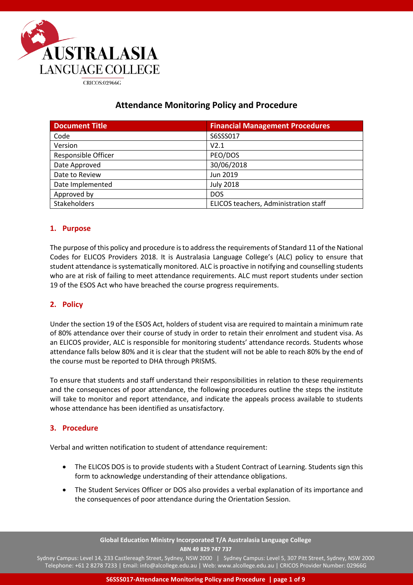

# **Attendance Monitoring Policy and Procedure**

| <b>Document Title</b>      | <b>Financial Management Procedures</b> |
|----------------------------|----------------------------------------|
| Code                       | S6SSS017                               |
| Version                    | V2.1                                   |
| <b>Responsible Officer</b> | PEO/DOS                                |
| Date Approved              | 30/06/2018                             |
| Date to Review             | Jun 2019                               |
| Date Implemented           | <b>July 2018</b>                       |
| Approved by                | <b>DOS</b>                             |
| Stakeholders               | ELICOS teachers, Administration staff  |

# **1. Purpose**

The purpose of this policy and procedure is to address the requirements of Standard 11 of the National Codes for ELICOS Providers 2018. It is Australasia Language College's (ALC) policy to ensure that student attendance is systematically monitored. ALC is proactive in notifying and counselling students who are at risk of failing to meet attendance requirements. ALC must report students under section 19 of the ESOS Act who have breached the course progress requirements.

# **2. Policy**

Under the section 19 of the ESOS Act, holders of student visa are required to maintain a minimum rate of 80% attendance over their course of study in order to retain their enrolment and student visa. As an ELICOS provider, ALC is responsible for monitoring students' attendance records. Students whose attendance falls below 80% and it is clear that the student will not be able to reach 80% by the end of the course must be reported to DHA through PRISMS.

To ensure that students and staff understand their responsibilities in relation to these requirements and the consequences of poor attendance, the following procedures outline the steps the institute will take to monitor and report attendance, and indicate the appeals process available to students whose attendance has been identified as unsatisfactory.

## **3. Procedure**

Verbal and written notification to student of attendance requirement:

- The ELICOS DOS is to provide students with a Student Contract of Learning. Students sign this form to acknowledge understanding of their attendance obligations.
- The Student Services Officer or DOS also provides a verbal explanation of its importance and the consequences of poor attendance during the Orientation Session.

**Global Education Ministry Incorporated T/A Australasia Language College ABN 49 829 747 737**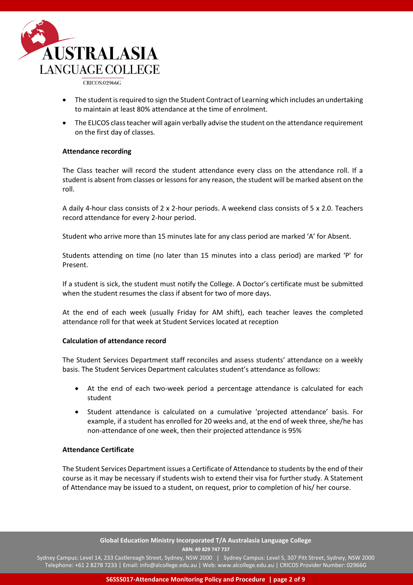

- The student is required to sign the Student Contract of Learning which includes an undertaking to maintain at least 80% attendance at the time of enrolment.
- The ELICOS class teacher will again verbally advise the student on the attendance requirement on the first day of classes.

### **Attendance recording**

The Class teacher will record the student attendance every class on the attendance roll. If a student is absent from classes or lessons for any reason, the student will be marked absent on the roll.

A daily 4-hour class consists of 2 x 2-hour periods. A weekend class consists of 5 x 2.0. Teachers record attendance for every 2-hour period.

Student who arrive more than 15 minutes late for any class period are marked 'A' for Absent.

Students attending on time (no later than 15 minutes into a class period) are marked 'P' for Present.

If a student is sick, the student must notify the College. A Doctor's certificate must be submitted when the student resumes the class if absent for two of more days.

At the end of each week (usually Friday for AM shift), each teacher leaves the completed attendance roll for that week at Student Services located at reception

#### **Calculation of attendance record**

The Student Services Department staff reconciles and assess students' attendance on a weekly basis. The Student Services Department calculates student's attendance as follows:

- At the end of each two-week period a percentage attendance is calculated for each student
- Student attendance is calculated on a cumulative 'projected attendance' basis. For example, if a student has enrolled for 20 weeks and, at the end of week three, she/he has non-attendance of one week, then their projected attendance is 95%

#### **Attendance Certificate**

The Student Services Department issues a Certificate of Attendance to students by the end of their course as it may be necessary if students wish to extend their visa for further study. A Statement of Attendance may be issued to a student, on request, prior to completion of his/ her course.

> **Global Education Ministry Incorporated T/A Australasia Language College ABN: 49 829 747 737**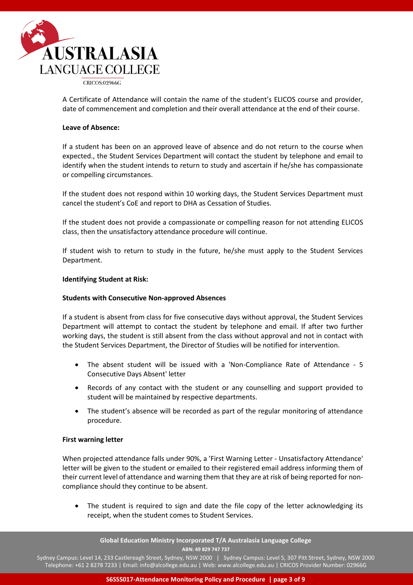

A Certificate of Attendance will contain the name of the student's ELICOS course and provider, date of commencement and completion and their overall attendance at the end of their course.

### **Leave of Absence:**

If a student has been on an approved leave of absence and do not return to the course when expected., the Student Services Department will contact the student by telephone and email to identify when the student intends to return to study and ascertain if he/she has compassionate or compelling circumstances.

If the student does not respond within 10 working days, the Student Services Department must cancel the student's CoE and report to DHA as Cessation of Studies.

If the student does not provide a compassionate or compelling reason for not attending ELICOS class, then the unsatisfactory attendance procedure will continue.

If student wish to return to study in the future, he/she must apply to the Student Services Department.

### **Identifying Student at Risk:**

#### **Students with Consecutive Non-approved Absences**

If a student is absent from class for five consecutive days without approval, the Student Services Department will attempt to contact the student by telephone and email. If after two further working days, the student is still absent from the class without approval and not in contact with the Student Services Department, the Director of Studies will be notified for intervention.

- The absent student will be issued with a 'Non-Compliance Rate of Attendance 5 Consecutive Days Absent' letter
- Records of any contact with the student or any counselling and support provided to student will be maintained by respective departments.
- The student's absence will be recorded as part of the regular monitoring of attendance procedure.

#### **First warning letter**

When projected attendance falls under 90%, a 'First Warning Letter - Unsatisfactory Attendance' letter will be given to the student or emailed to their registered email address informing them of their current level of attendance and warning them that they are at risk of being reported for noncompliance should they continue to be absent.

The student is required to sign and date the file copy of the letter acknowledging its receipt, when the student comes to Student Services.

**Global Education Ministry Incorporated T/A Australasia Language College ABN: 49 829 747 737**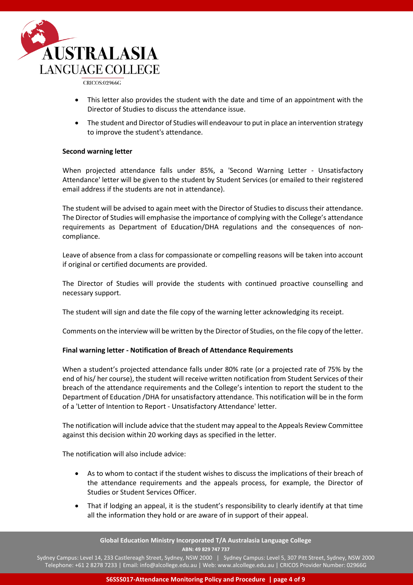

- This letter also provides the student with the date and time of an appointment with the Director of Studies to discuss the attendance issue.
- The student and Director of Studies will endeavour to put in place an intervention strategy to improve the student's attendance.

### **Second warning letter**

When projected attendance falls under 85%, a 'Second Warning Letter - Unsatisfactory Attendance' letter will be given to the student by Student Services (or emailed to their registered email address if the students are not in attendance).

The student will be advised to again meet with the Director of Studies to discuss their attendance. The Director of Studies will emphasise the importance of complying with the College's attendance requirements as Department of Education/DHA regulations and the consequences of noncompliance.

Leave of absence from a class for compassionate or compelling reasons will be taken into account if original or certified documents are provided.

The Director of Studies will provide the students with continued proactive counselling and necessary support.

The student will sign and date the file copy of the warning letter acknowledging its receipt.

Comments on the interview will be written by the Director of Studies, on the file copy of the letter.

## **Final warning letter - Notification of Breach of Attendance Requirements**

When a student's projected attendance falls under 80% rate (or a projected rate of 75% by the end of his/ her course), the student will receive written notification from Student Services of their breach of the attendance requirements and the College's intention to report the student to the Department of Education /DHA for unsatisfactory attendance. This notification will be in the form of a 'Letter of Intention to Report - Unsatisfactory Attendance' letter.

The notification will include advice that the student may appeal to the Appeals Review Committee against this decision within 20 working days as specified in the letter.

The notification will also include advice:

- As to whom to contact if the student wishes to discuss the implications of their breach of the attendance requirements and the appeals process, for example, the Director of Studies or Student Services Officer.
- That if lodging an appeal, it is the student's responsibility to clearly identify at that time all the information they hold or are aware of in support of their appeal.

**Global Education Ministry Incorporated T/A Australasia Language College ABN: 49 829 747 737**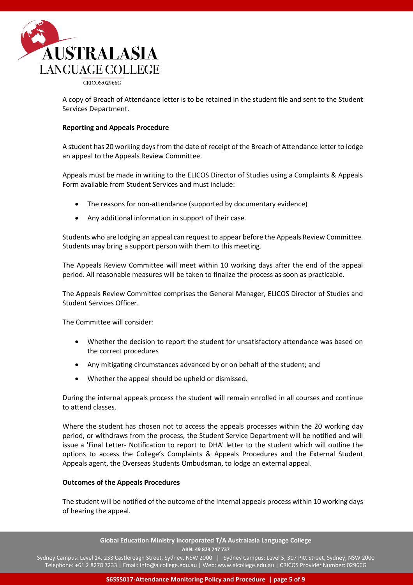

A copy of Breach of Attendance letter is to be retained in the student file and sent to the Student Services Department.

### **Reporting and Appeals Procedure**

A student has 20 working days from the date of receipt of the Breach of Attendance letter to lodge an appeal to the Appeals Review Committee.

Appeals must be made in writing to the ELICOS Director of Studies using a Complaints & Appeals Form available from Student Services and must include:

- The reasons for non-attendance (supported by documentary evidence)
- Any additional information in support of their case.

Students who are lodging an appeal can request to appear before the Appeals Review Committee. Students may bring a support person with them to this meeting.

The Appeals Review Committee will meet within 10 working days after the end of the appeal period. All reasonable measures will be taken to finalize the process as soon as practicable.

The Appeals Review Committee comprises the General Manager, ELICOS Director of Studies and Student Services Officer.

The Committee will consider:

- Whether the decision to report the student for unsatisfactory attendance was based on the correct procedures
- Any mitigating circumstances advanced by or on behalf of the student; and
- Whether the appeal should be upheld or dismissed.

During the internal appeals process the student will remain enrolled in all courses and continue to attend classes.

Where the student has chosen not to access the appeals processes within the 20 working day period, or withdraws from the process, the Student Service Department will be notified and will issue a 'Final Letter- Notification to report to DHA' letter to the student which will outline the options to access the College's Complaints & Appeals Procedures and the External Student Appeals agent, the Overseas Students Ombudsman, to lodge an external appeal.

#### **Outcomes of the Appeals Procedures**

The student will be notified of the outcome of the internal appeals process within 10 working days of hearing the appeal.

> **Global Education Ministry Incorporated T/A Australasia Language College ABN: 49 829 747 737**

Sydney Campus: Level 14, 233 Castlereagh Street, Sydney, NSW 2000 | Sydney Campus: Level 5, 307 Pitt Street, Sydney, NSW 2000 Telephone: +61 2 8278 7233 | Email: info@alcollege.edu.au | Web: www.alcollege.edu.au | CRICOS Provider Number: 02966G

**S6SSS017-Attendance Monitoring Policy and Procedure | page 5 of 9**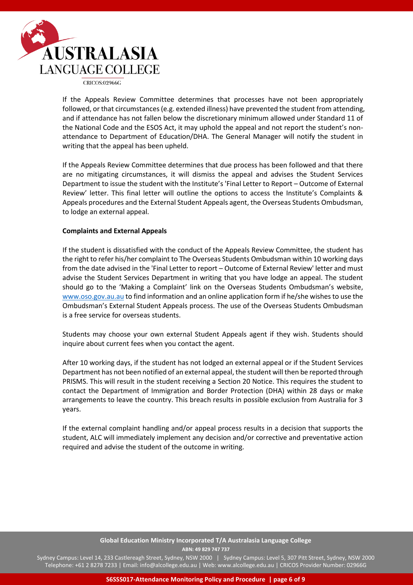

If the Appeals Review Committee determines that processes have not been appropriately followed, or that circumstances (e.g. extended illness) have prevented the student from attending, and if attendance has not fallen below the discretionary minimum allowed under Standard 11 of the National Code and the ESOS Act, it may uphold the appeal and not report the student's nonattendance to Department of Education/DHA. The General Manager will notify the student in writing that the appeal has been upheld.

If the Appeals Review Committee determines that due process has been followed and that there are no mitigating circumstances, it will dismiss the appeal and advises the Student Services Department to issue the student with the Institute's 'Final Letter to Report – Outcome of External Review' letter. This final letter will outline the options to access the Institute's Complaints & Appeals procedures and the External Student Appeals agent, the Overseas Students Ombudsman, to lodge an external appeal.

### **Complaints and External Appeals**

If the student is dissatisfied with the conduct of the Appeals Review Committee, the student has the right to refer his/her complaint to The Overseas Students Ombudsman within 10 working days from the date advised in the 'Final Letter to report – Outcome of External Review' letter and must advise the Student Services Department in writing that you have lodge an appeal. The student should go to the 'Making a Complaint' link on the Overseas Students Ombudsman's website, [www.oso.gov.au.au](http://www.oso.gov.au.au/) to find information and an online application form if he/she wishes to use the Ombudsman's External Student Appeals process. The use of the Overseas Students Ombudsman is a free service for overseas students.

Students may choose your own external Student Appeals agent if they wish. Students should inquire about current fees when you contact the agent.

After 10 working days, if the student has not lodged an external appeal or if the Student Services Department has not been notified of an external appeal, the student will then be reported through PRISMS. This will result in the student receiving a Section 20 Notice. This requires the student to contact the Department of Immigration and Border Protection (DHA) within 28 days or make arrangements to leave the country. This breach results in possible exclusion from Australia for 3 years.

If the external complaint handling and/or appeal process results in a decision that supports the student, ALC will immediately implement any decision and/or corrective and preventative action required and advise the student of the outcome in writing.

### **Global Education Ministry Incorporated T/A Australasia Language College ABN: 49 829 747 737**

Sydney Campus: Level 14, 233 Castlereagh Street, Sydney, NSW 2000 | Sydney Campus: Level 5, 307 Pitt Street, Sydney, NSW 2000 Telephone: +61 2 8278 7233 | Email: info@alcollege.edu.au | Web: www.alcollege.edu.au | CRICOS Provider Number: 02966G

**S6SSS017-Attendance Monitoring Policy and Procedure | page 6 of 9**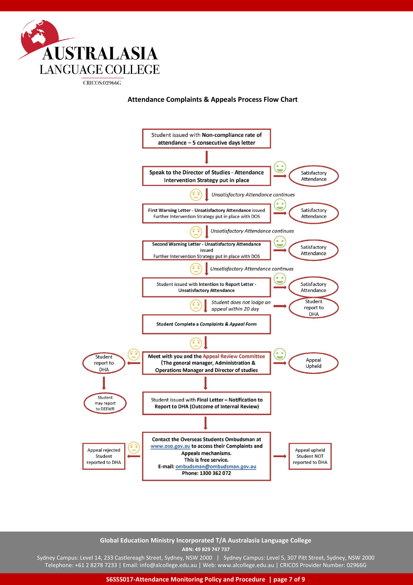

**Attendance Complaints & Appeals Process Flow Chart**



**Global Education Ministry Incorporated T/A Australasia Language College ABN: 49 829 747 737**

Sydney Campus: Level 14, 233 Castlereagh Street, Sydney, NSW 2000 | Sydney Campus: Level 5, 307 Pitt Street, Sydney, NSW 2000 Telephone: +61 2 8278 7233 | Email: info@alcollege.edu.au | Web: www.alcollege.edu.au | CRICOS Provider Number: 02966G

**S6SSS017-Attendance Monitoring Policy and Procedure | page 7 of 9**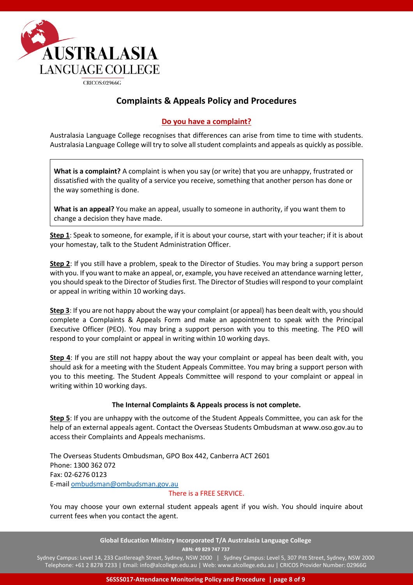

# **Complaints & Appeals Policy and Procedures**

# **Do you have a complaint?**

Australasia Language College recognises that differences can arise from time to time with students. Australasia Language College will try to solve all student complaints and appeals as quickly as possible.

**What is a complaint?** A complaint is when you say (or write) that you are unhappy, frustrated or dissatisfied with the quality of a service you receive, something that another person has done or the way something is done.

**What is an appeal?** You make an appeal, usually to someone in authority, if you want them to change a decision they have made.

**Step 1**: Speak to someone, for example, if it is about your course, start with your teacher; if it is about your homestay, talk to the Student Administration Officer.

**Step 2**: If you still have a problem, speak to the Director of Studies. You may bring a support person with you. If you want to make an appeal, or, example, you have received an attendance warning letter, you should speak to the Director of Studies first. The Director of Studies will respond to your complaint or appeal in writing within 10 working days.

**Step 3**: If you are not happy about the way your complaint (or appeal) has been dealt with, you should complete a Complaints & Appeals Form and make an appointment to speak with the Principal Executive Officer (PEO). You may bring a support person with you to this meeting. The PEO will respond to your complaint or appeal in writing within 10 working days.

**Step 4**: If you are still not happy about the way your complaint or appeal has been dealt with, you should ask for a meeting with the Student Appeals Committee. You may bring a support person with you to this meeting. The Student Appeals Committee will respond to your complaint or appeal in writing within 10 working days.

## **The Internal Complaints & Appeals process is not complete.**

**Step 5**: If you are unhappy with the outcome of the Student Appeals Committee, you can ask for the help of an external appeals agent. Contact the Overseas Students Ombudsman at www.oso.gov.au to access their Complaints and Appeals mechanisms.

The Overseas Students Ombudsman, GPO Box 442, Canberra ACT 2601 Phone: 1300 362 072 Fax: 02-6276 0123 E-mai[l ombudsman@ombudsman.gov.au](mailto:ombudsman@ombudsman.gov.au)

# There is a FREE SERVICE.

You may choose your own external student appeals agent if you wish. You should inquire about current fees when you contact the agent.

> **Global Education Ministry Incorporated T/A Australasia Language College ABN: 49 829 747 737**

Sydney Campus: Level 14, 233 Castlereagh Street, Sydney, NSW 2000 | Sydney Campus: Level 5, 307 Pitt Street, Sydney, NSW 2000 Telephone: +61 2 8278 7233 | Email: info@alcollege.edu.au | Web: www.alcollege.edu.au | CRICOS Provider Number: 02966G

**S6SSS017-Attendance Monitoring Policy and Procedure | page 8 of 9**